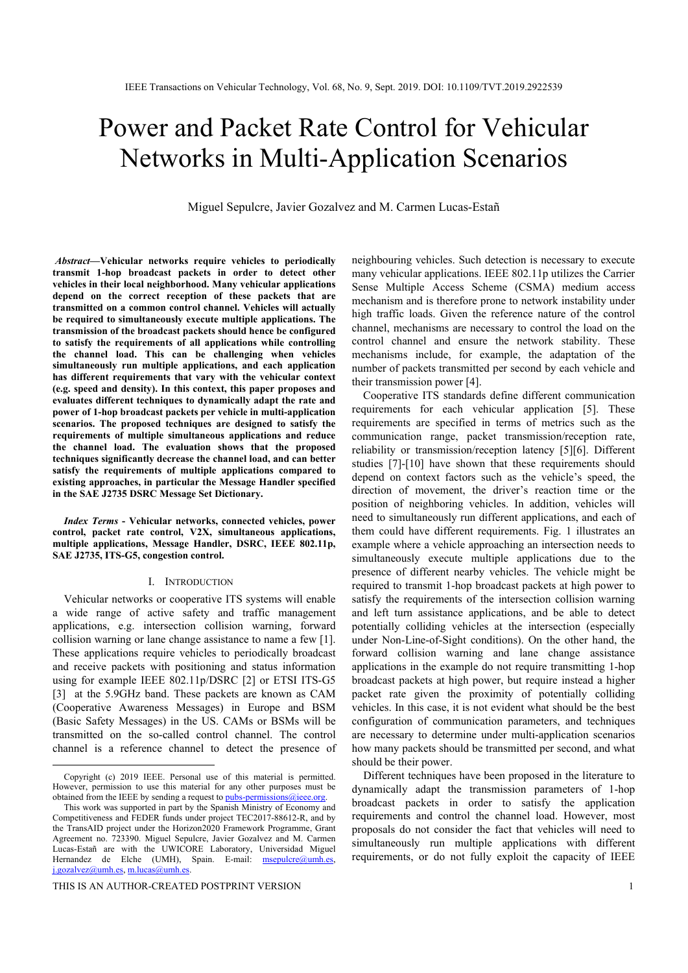# Power and Packet Rate Control for Vehicular Networks in Multi-Application Scenarios

Miguel Sepulcre, Javier Gozalvez and M. Carmen Lucas-Estañ

*Abstract***—Vehicular networks require vehicles to periodically transmit 1-hop broadcast packets in order to detect other vehicles in their local neighborhood. Many vehicular applications depend on the correct reception of these packets that are transmitted on a common control channel. Vehicles will actually be required to simultaneously execute multiple applications. The transmission of the broadcast packets should hence be configured to satisfy the requirements of all applications while controlling the channel load. This can be challenging when vehicles simultaneously run multiple applications, and each application has different requirements that vary with the vehicular context (e.g. speed and density). In this context, this paper proposes and evaluates different techniques to dynamically adapt the rate and power of 1-hop broadcast packets per vehicle in multi-application scenarios. The proposed techniques are designed to satisfy the requirements of multiple simultaneous applications and reduce the channel load. The evaluation shows that the proposed techniques significantly decrease the channel load, and can better satisfy the requirements of multiple applications compared to existing approaches, in particular the Message Handler specified in the SAE J2735 DSRC Message Set Dictionary.** 

*Index Terms* **- Vehicular networks, connected vehicles, power control, packet rate control, V2X, simultaneous applications, multiple applications, Message Handler, DSRC, IEEE 802.11p, SAE J2735, ITS-G5, congestion control.** 

# I. INTRODUCTION

Vehicular networks or cooperative ITS systems will enable a wide range of active safety and traffic management applications, e.g. intersection collision warning, forward collision warning or lane change assistance to name a few [1]. These applications require vehicles to periodically broadcast and receive packets with positioning and status information using for example IEEE 802.11p/DSRC [2] or ETSI ITS-G5 [3] at the 5.9GHz band. These packets are known as CAM (Cooperative Awareness Messages) in Europe and BSM (Basic Safety Messages) in the US. CAMs or BSMs will be transmitted on the so-called control channel. The control channel is a reference channel to detect the presence of

THIS IS AN AUTHOR-CREATED POSTPRINT VERSION 1

neighbouring vehicles. Such detection is necessary to execute many vehicular applications. IEEE 802.11p utilizes the Carrier Sense Multiple Access Scheme (CSMA) medium access mechanism and is therefore prone to network instability under high traffic loads. Given the reference nature of the control channel, mechanisms are necessary to control the load on the control channel and ensure the network stability. These mechanisms include, for example, the adaptation of the number of packets transmitted per second by each vehicle and their transmission power [4].

Cooperative ITS standards define different communication requirements for each vehicular application [5]. These requirements are specified in terms of metrics such as the communication range, packet transmission/reception rate, reliability or transmission/reception latency [5][6]. Different studies [7]-[10] have shown that these requirements should depend on context factors such as the vehicle's speed, the direction of movement, the driver's reaction time or the position of neighboring vehicles. In addition, vehicles will need to simultaneously run different applications, and each of them could have different requirements. Fig. 1 illustrates an example where a vehicle approaching an intersection needs to simultaneously execute multiple applications due to the presence of different nearby vehicles. The vehicle might be required to transmit 1-hop broadcast packets at high power to satisfy the requirements of the intersection collision warning and left turn assistance applications, and be able to detect potentially colliding vehicles at the intersection (especially under Non-Line-of-Sight conditions). On the other hand, the forward collision warning and lane change assistance applications in the example do not require transmitting 1-hop broadcast packets at high power, but require instead a higher packet rate given the proximity of potentially colliding vehicles. In this case, it is not evident what should be the best configuration of communication parameters, and techniques are necessary to determine under multi-application scenarios how many packets should be transmitted per second, and what should be their power.

Different techniques have been proposed in the literature to dynamically adapt the transmission parameters of 1-hop broadcast packets in order to satisfy the application requirements and control the channel load. However, most proposals do not consider the fact that vehicles will need to simultaneously run multiple applications with different requirements, or do not fully exploit the capacity of IEEE

Copyright (c) 2019 IEEE. Personal use of this material is permitted. However, permission to use this material for any other purposes must be obtained from the IEEE by sending a request to pubs-permissions@ieee.org.

This work was supported in part by the Spanish Ministry of Economy and Competitiveness and FEDER funds under project TEC2017-88612-R, and by the TransAID project under the Horizon2020 Framework Programme, Grant Agreement no. 723390. Miguel Sepulcre, Javier Gozalvez and M. Carmen Lucas-Estañ are with the UWICORE Laboratory, Universidad Miguel Hernandez de Elche (UMH), Spain. E-mail: msepulcre@umh.es, j.gozalvez@umh.es, m.lucas@umh.es.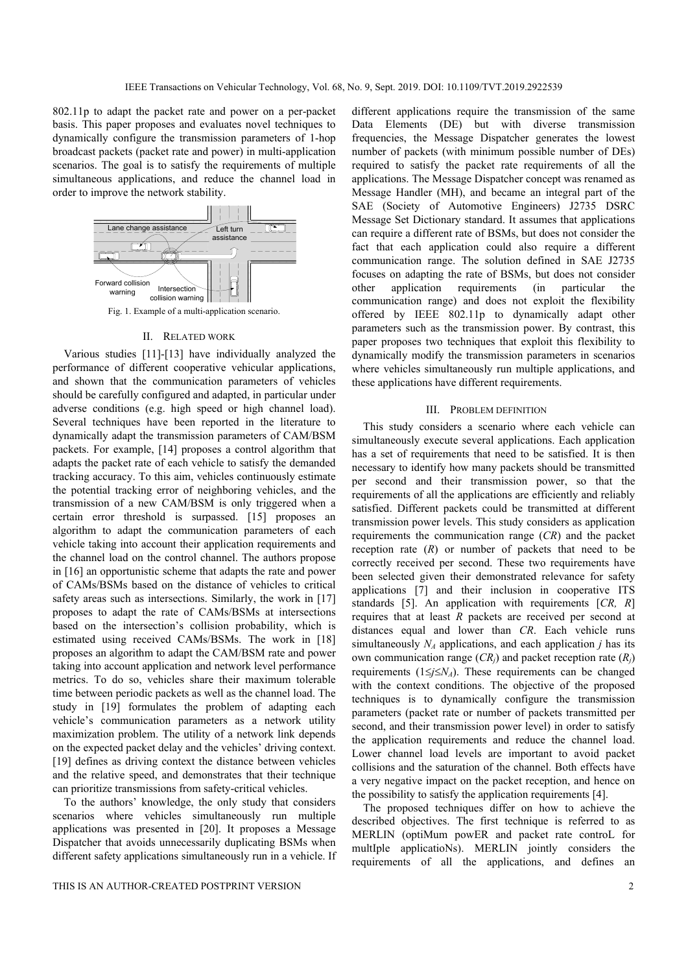802.11p to adapt the packet rate and power on a per-packet basis. This paper proposes and evaluates novel techniques to dynamically configure the transmission parameters of 1-hop broadcast packets (packet rate and power) in multi-application scenarios. The goal is to satisfy the requirements of multiple simultaneous applications, and reduce the channel load in order to improve the network stability.



## II. RELATED WORK

Various studies [11]-[13] have individually analyzed the performance of different cooperative vehicular applications, and shown that the communication parameters of vehicles should be carefully configured and adapted, in particular under adverse conditions (e.g. high speed or high channel load). Several techniques have been reported in the literature to dynamically adapt the transmission parameters of CAM/BSM packets. For example, [14] proposes a control algorithm that adapts the packet rate of each vehicle to satisfy the demanded tracking accuracy. To this aim, vehicles continuously estimate the potential tracking error of neighboring vehicles, and the transmission of a new CAM/BSM is only triggered when a certain error threshold is surpassed. [15] proposes an algorithm to adapt the communication parameters of each vehicle taking into account their application requirements and the channel load on the control channel. The authors propose in [16] an opportunistic scheme that adapts the rate and power of CAMs/BSMs based on the distance of vehicles to critical safety areas such as intersections. Similarly, the work in [17] proposes to adapt the rate of CAMs/BSMs at intersections based on the intersection's collision probability, which is estimated using received CAMs/BSMs. The work in [18] proposes an algorithm to adapt the CAM/BSM rate and power taking into account application and network level performance metrics. To do so, vehicles share their maximum tolerable time between periodic packets as well as the channel load. The study in [19] formulates the problem of adapting each vehicle's communication parameters as a network utility maximization problem. The utility of a network link depends on the expected packet delay and the vehicles' driving context. [19] defines as driving context the distance between vehicles and the relative speed, and demonstrates that their technique can prioritize transmissions from safety-critical vehicles.

To the authors' knowledge, the only study that considers scenarios where vehicles simultaneously run multiple applications was presented in [20]. It proposes a Message Dispatcher that avoids unnecessarily duplicating BSMs when different safety applications simultaneously run in a vehicle. If

different applications require the transmission of the same Data Elements (DE) but with diverse transmission frequencies, the Message Dispatcher generates the lowest number of packets (with minimum possible number of DEs) required to satisfy the packet rate requirements of all the applications. The Message Dispatcher concept was renamed as Message Handler (MH), and became an integral part of the SAE (Society of Automotive Engineers) J2735 DSRC Message Set Dictionary standard. It assumes that applications can require a different rate of BSMs, but does not consider the fact that each application could also require a different communication range. The solution defined in SAE J2735 focuses on adapting the rate of BSMs, but does not consider other application requirements (in particular the communication range) and does not exploit the flexibility offered by IEEE 802.11p to dynamically adapt other parameters such as the transmission power. By contrast, this paper proposes two techniques that exploit this flexibility to dynamically modify the transmission parameters in scenarios where vehicles simultaneously run multiple applications, and these applications have different requirements.

# III. PROBLEM DEFINITION

This study considers a scenario where each vehicle can simultaneously execute several applications. Each application has a set of requirements that need to be satisfied. It is then necessary to identify how many packets should be transmitted per second and their transmission power, so that the requirements of all the applications are efficiently and reliably satisfied. Different packets could be transmitted at different transmission power levels. This study considers as application requirements the communication range (*CR*) and the packet reception rate  $(R)$  or number of packets that need to be correctly received per second. These two requirements have been selected given their demonstrated relevance for safety applications [7] and their inclusion in cooperative ITS standards [5]. An application with requirements [*CR, R*] requires that at least *R* packets are received per second at distances equal and lower than *CR*. Each vehicle runs simultaneously  $N_A$  applications, and each application  $j$  has its own communication range (*CRj*) and packet reception rate (*Rj*) requirements ( $1 \le j \le N_A$ ). These requirements can be changed with the context conditions. The objective of the proposed techniques is to dynamically configure the transmission parameters (packet rate or number of packets transmitted per second, and their transmission power level) in order to satisfy the application requirements and reduce the channel load. Lower channel load levels are important to avoid packet collisions and the saturation of the channel. Both effects have a very negative impact on the packet reception, and hence on the possibility to satisfy the application requirements [4].

The proposed techniques differ on how to achieve the described objectives. The first technique is referred to as MERLIN (optiMum powER and packet rate controL for multIple applicatioNs). MERLIN jointly considers the requirements of all the applications, and defines an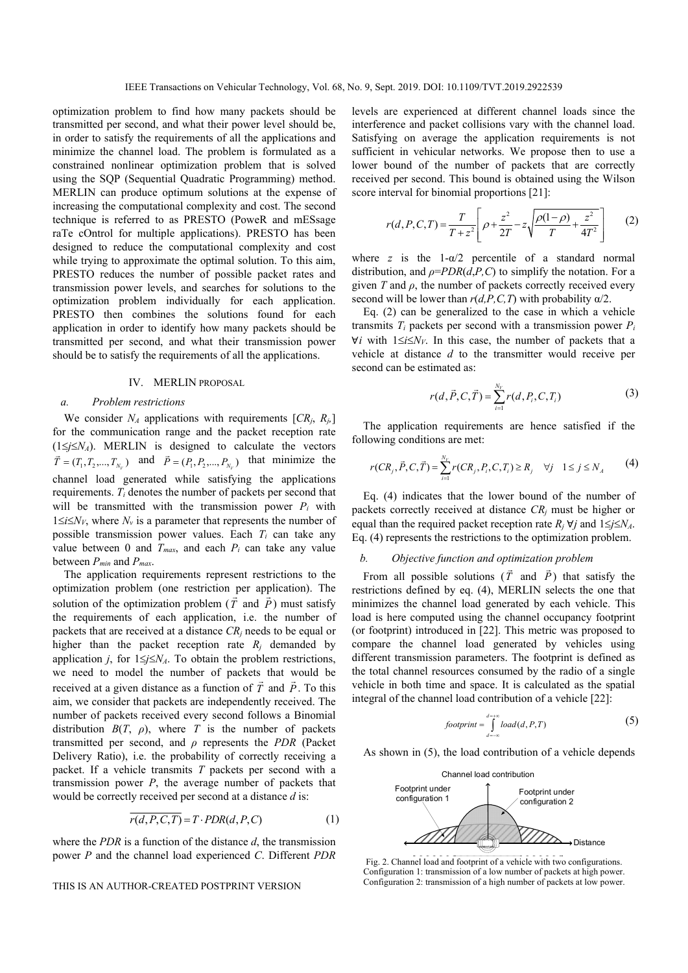optimization problem to find how many packets should be transmitted per second, and what their power level should be, in order to satisfy the requirements of all the applications and minimize the channel load. The problem is formulated as a constrained nonlinear optimization problem that is solved using the SQP (Sequential Quadratic Programming) method. MERLIN can produce optimum solutions at the expense of increasing the computational complexity and cost. The second technique is referred to as PRESTO (PoweR and mESsage raTe cOntrol for multiple applications). PRESTO has been designed to reduce the computational complexity and cost while trying to approximate the optimal solution. To this aim, PRESTO reduces the number of possible packet rates and transmission power levels, and searches for solutions to the optimization problem individually for each application. PRESTO then combines the solutions found for each application in order to identify how many packets should be transmitted per second, and what their transmission power should be to satisfy the requirements of all the applications.

## IV. MERLIN PROPOSAL

# *a. Problem restrictions*

We consider  $N_A$  applications with requirements  $[CR_i, R_j]$ for the communication range and the packet reception rate  $(1 \le j \le N_A)$ . MERLIN is designed to calculate the vectors  $\vec{T} = (T_1, T_2, ..., T_{N_U})$  and  $\vec{P} = (P_1, P_2, ..., P_{N_U})$  that minimize the channel load generated while satisfying the applications requirements.  $T_i$  denotes the number of packets per second that will be transmitted with the transmission power  $P_i$  with  $1 \le i \le N_V$ , where  $N_V$  is a parameter that represents the number of possible transmission power values. Each  $T_i$  can take any value between 0 and  $T_{max}$ , and each  $P_i$  can take any value between *Pmin* and *Pmax*.

The application requirements represent restrictions to the optimization problem (one restriction per application). The solution of the optimization problem  $(\vec{T}$  and  $\vec{P})$  must satisfy the requirements of each application, i.e. the number of packets that are received at a distance  $CR<sub>j</sub>$  needs to be equal or higher than the packet reception rate  $R_j$  demanded by application *j*, for  $1 \le j \le N_A$ . To obtain the problem restrictions, we need to model the number of packets that would be received at a given distance as a function of  $\overrightarrow{T}$  and  $\overrightarrow{P}$ . To this aim, we consider that packets are independently received. The number of packets received every second follows a Binomial distribution  $B(T, \rho)$ , where *T* is the number of packets transmitted per second, and *ρ* represents the *PDR* (Packet Delivery Ratio), i.e. the probability of correctly receiving a packet. If a vehicle transmits *T* packets per second with a transmission power *P*, the average number of packets that would be correctly received per second at a distance *d* is:

$$
\overline{r(d, P, C, T)} = T \cdot PDR(d, P, C) \tag{1}
$$

where the *PDR* is a function of the distance *d*, the transmission power *P* and the channel load experienced *C*. Different *PDR*

## THIS IS AN AUTHOR-CREATED POSTPRINT VERSION

levels are experienced at different channel loads since the interference and packet collisions vary with the channel load. Satisfying on average the application requirements is not sufficient in vehicular networks. We propose then to use a lower bound of the number of packets that are correctly received per second. This bound is obtained using the Wilson score interval for binomial proportions [21]:

$$
r(d, P, C, T) = \frac{T}{T + z^2} \left[ \rho + \frac{z^2}{2T} - z \sqrt{\frac{\rho(1 - \rho)}{T} + \frac{z^2}{4T^2}} \right] \tag{2}
$$

where  $z$  is the  $1-\alpha/2$  percentile of a standard normal distribution, and  $\rho = PDR(d, P, C)$  to simplify the notation. For a given  $T$  and  $\rho$ , the number of packets correctly received every second will be lower than  $r(d, P, C, T)$  with probability  $\alpha/2$ .

Eq. (2) can be generalized to the case in which a vehicle transmits  $T_i$  packets per second with a transmission power  $P_i$  $∀i$  with  $1≤i≤N<sub>V</sub>$ . In this case, the number of packets that a vehicle at distance *d* to the transmitter would receive per second can be estimated as:

$$
r(d, \vec{P}, C, \vec{T}) = \sum_{i=1}^{N_Y} r(d, P_i, C, T_i)
$$
 (3)

The application requirements are hence satisfied if the following conditions are met:

$$
r(CR_j, \vec{P}, C, \vec{T}) = \sum_{i=1}^{N_V} r(CR_j, P_i, C, T_i) \ge R_j \quad \forall j \quad 1 \le j \le N_A
$$
 (4)

Eq. (4) indicates that the lower bound of the number of packets correctly received at distance *CRj* must be higher or equal than the required packet reception rate  $R_i \forall j$  and  $1 \leq j \leq N_A$ . Eq. (4) represents the restrictions to the optimization problem.

## *b. Objective function and optimization problem*

From all possible solutions  $(\vec{T} \text{ and } \vec{P})$  that satisfy the restrictions defined by eq. (4), MERLIN selects the one that minimizes the channel load generated by each vehicle. This load is here computed using the channel occupancy footprint (or footprint) introduced in [22]. This metric was proposed to compare the channel load generated by vehicles using different transmission parameters. The footprint is defined as the total channel resources consumed by the radio of a single vehicle in both time and space. It is calculated as the spatial integral of the channel load contribution of a vehicle [22]:

$$
footprint = \int_{d = -\infty}^{d = +\infty} load(d, P, T)
$$
 (5)

As shown in (5), the load contribution of a vehicle depends



Fig. 2. Channel load and footprint of a vehicle with two configurations. Configuration 1: transmission of a low number of packets at high power. Configuration 2: transmission of a high number of packets at low power.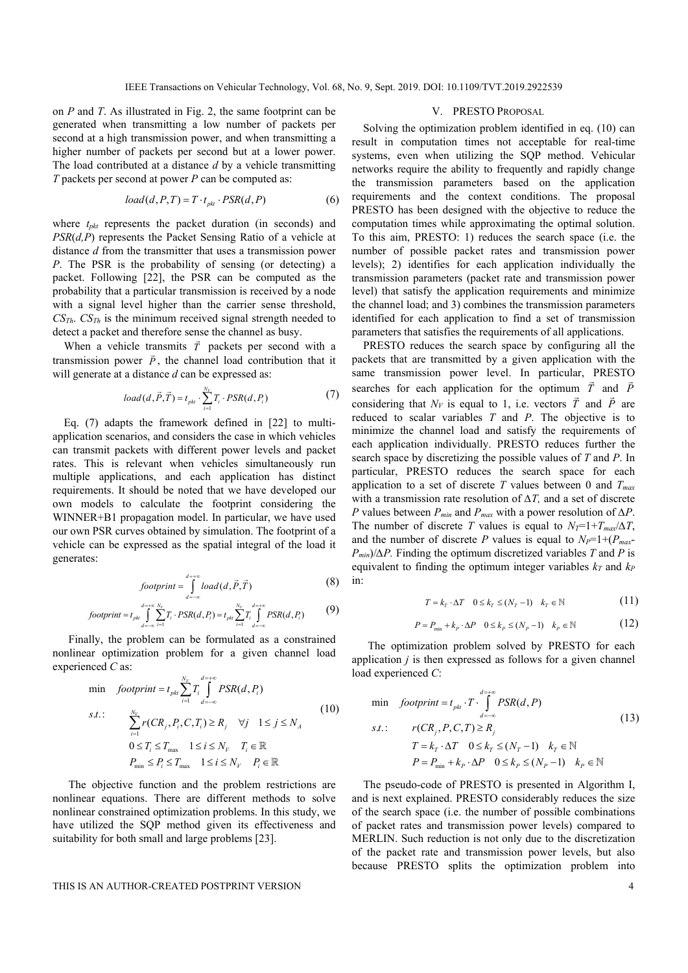on *P* and *T*. As illustrated in Fig. 2, the same footprint can be generated when transmitting a low number of packets per second at a high transmission power, and when transmitting a higher number of packets per second but at a lower power. The load contributed at a distance *d* by a vehicle transmitting *T* packets per second at power *P* can be computed as:

$$
load(d, P, T) = T \cdot t_{pk} \cdot PSR(d, P) \tag{6}
$$

where *tpkt* represents the packet duration (in seconds) and *PSR*(*d,P*) represents the Packet Sensing Ratio of a vehicle at distance *d* from the transmitter that uses a transmission power *P*. The PSR is the probability of sensing (or detecting) a packet. Following [22], the PSR can be computed as the probability that a particular transmission is received by a node with a signal level higher than the carrier sense threshold, *CSTh*. *CSTh* is the minimum received signal strength needed to detect a packet and therefore sense the channel as busy.

When a vehicle transmits  $\overrightarrow{T}$  packets per second with a transmission power  $\vec{P}$ , the channel load contribution that it will generate at a distance *d* can be expressed as:

$$
load(d, \vec{P}, \vec{T}) = t_{\text{pkt}} \cdot \sum_{i=1}^{N_V} T_i \cdot PSR(d, P_i)
$$
 (7)

Eq. (7) adapts the framework defined in [22] to multiapplication scenarios, and considers the case in which vehicles can transmit packets with different power levels and packet rates. This is relevant when vehicles simultaneously run multiple applications, and each application has distinct requirements. It should be noted that we have developed our own models to calculate the footprint considering the WINNER+B1 propagation model. In particular, we have used our own PSR curves obtained by simulation. The footprint of a vehicle can be expressed as the spatial integral of the load it generates:

$$
footprint = \int_{d=-\infty}^{d=\infty} load(d, \vec{P}, \vec{T})
$$
\n(8)

$$
footprint = t_{pk} \int_{d = -\infty}^{d = +\infty} \sum_{i=1}^{N_v} T_i \cdot PSR(d, P_i) = t_{pk} \sum_{i=1}^{N_v} T_i \int_{d = -\infty}^{d = +\infty} PSR(d, P_i)
$$
(9)

Finally, the problem can be formulated as a constrained nonlinear optimization problem for a given channel load experienced *C* as:

$$
\begin{aligned}\n\min \quad & \quad \text{footprint} = t_{\text{pkt}} \sum_{i=1}^{N_{\text{lr}}} T_i \int_{d=-\infty}^{d=\infty} PSR(d, P_i) \\
& s.t.: \quad \sum_{i=1}^{N_{\text{lr}}} r(CR_j, P_i, C, T_i) \ge R_j \quad \forall j \quad 1 \le j \le N_A \\
& 0 \le T_i \le T_{\text{max}} \quad 1 \le i \le N_{\text{lr}} \quad T_i \in \mathbb{R} \\
& P_{\text{min}} \le P_i \le T_{\text{max}} \quad 1 \le i \le N_{\text{lr}} \quad P_i \in \mathbb{R}\n\end{aligned}\n\tag{10}
$$

The objective function and the problem restrictions are nonlinear equations. There are different methods to solve nonlinear constrained optimization problems. In this study, we have utilized the SQP method given its effectiveness and suitability for both small and large problems [23].

## THIS IS AN AUTHOR-CREATED POSTPRINT VERSION 4

## V. PRESTO PROPOSAL

Solving the optimization problem identified in eq. (10) can result in computation times not acceptable for real-time systems, even when utilizing the SQP method. Vehicular networks require the ability to frequently and rapidly change the transmission parameters based on the application requirements and the context conditions. The proposal PRESTO has been designed with the objective to reduce the computation times while approximating the optimal solution. To this aim, PRESTO: 1) reduces the search space (i.e. the number of possible packet rates and transmission power levels); 2) identifies for each application individually the transmission parameters (packet rate and transmission power level) that satisfy the application requirements and minimize the channel load; and 3) combines the transmission parameters identified for each application to find a set of transmission parameters that satisfies the requirements of all applications.

PRESTO reduces the search space by configuring all the packets that are transmitted by a given application with the same transmission power level. In particular, PRESTO searches for each application for the optimum  $\vec{T}$  and  $\vec{P}$ considering that  $N_V$  is equal to 1, i.e. vectors  $\vec{T}$  and  $\vec{P}$  are reduced to scalar variables *T* and *P*. The objective is to minimize the channel load and satisfy the requirements of each application individually. PRESTO reduces further the search space by discretizing the possible values of *T* and *P*. In particular, PRESTO reduces the search space for each application to a set of discrete *T* values between 0 and *Tmax* with a transmission rate resolution of *∆T,* and a set of discrete *P* values between  $P_{min}$  and  $P_{max}$  with a power resolution of  $\Delta P$ . The number of discrete *T* values is equal to  $N_T=1+T_{max}/\Delta T$ , and the number of discrete *P* values is equal to  $N_P=1+(P_{max}-P_{max})$  $P_{min}/\Delta P$ . Finding the optimum discretized variables *T* and *P* is equivalent to finding the optimum integer variables  $k_T$  and  $k_P$ in:

$$
T = kr \cdot \Delta T \quad 0 \le kr \le (Nr - 1) \quad kr \in \mathbb{N}
$$
 (11)

$$
P = P_{\min} + k_p \cdot \Delta P \quad 0 \le k_p \le (N_p - 1) \quad k_p \in \mathbb{N} \tag{12}
$$

The optimization problem solved by PRESTO for each application *j* is then expressed as follows for a given channel load experienced *C*:

$$
\begin{aligned}\n\min \quad & \quad \text{footprint} = t_{pk} \cdot T \cdot \int_{d=-\infty}^{d=\infty} PSR(d, P) \\
\text{s.t.:} \quad & r(CR_j, P, C, T) \ge R_j \\
& T = k_T \cdot \Delta T \quad 0 \le k_T \le (N_T - 1) \quad k_T \in \mathbb{N} \\
& P = P_{\min} + k_P \cdot \Delta P \quad 0 \le k_P \le (N_P - 1) \quad k_P \in \mathbb{N}\n\end{aligned}\n\tag{13}
$$

The pseudo-code of PRESTO is presented in Algorithm I, and is next explained. PRESTO considerably reduces the size of the search space (i.e. the number of possible combinations of packet rates and transmission power levels) compared to MERLIN. Such reduction is not only due to the discretization of the packet rate and transmission power levels, but also because PRESTO splits the optimization problem into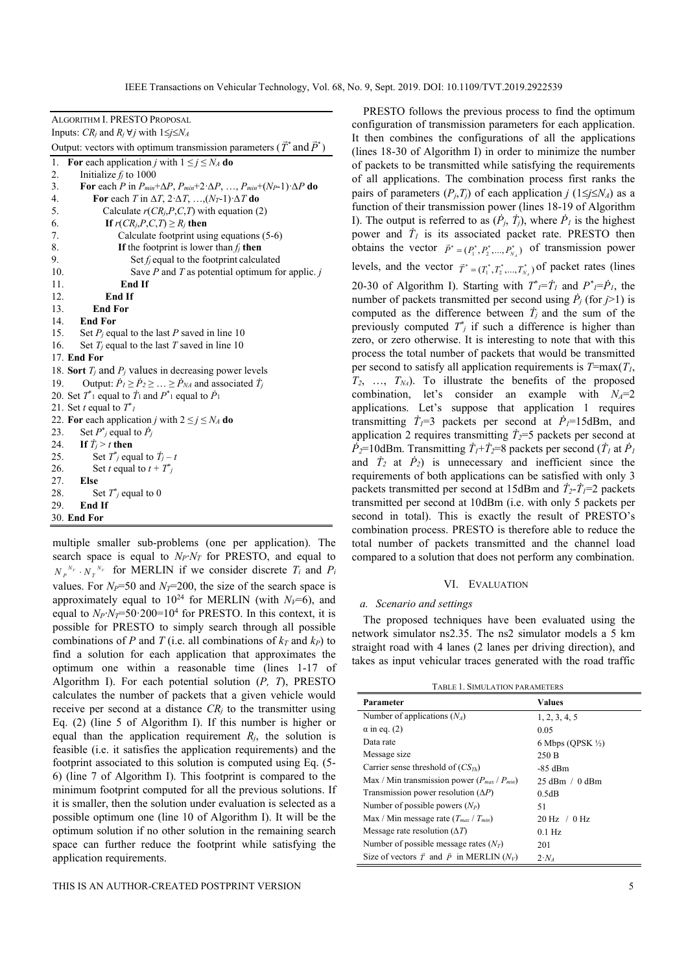IEEE Transactions on Vehicular Technology, Vol. 68, No. 9, Sept. 2019. DOI: 10.1109/TVT.2019.2922539

| Inputs: $CR_j$ and $R_j \forall j$ with $1 \leq j \leq N_A$<br>Output: vectors with optimum transmission parameters ( $\vec{T}^*$ and $\vec{P}^*$ )<br>For each application <i>j</i> with $1 \le j \le N_A$ do<br>1.<br>Initialize $f_j$ to 1000<br>2.<br>3.<br>For each P in $P_{min} + \Delta P$ , $P_{min} + 2 \Delta P$ , , $P_{min} + (N_{P-1}) \Delta P$ do<br>For each T in $\Delta T$ , $2 \cdot \Delta T$ , , $(N_T-1) \cdot \Delta T$ do<br>4.<br>Calculate $r(CR_j, P, C, T)$ with equation (2)<br>5.<br>6.<br>If $r(CR_j, P, C, T) \ge R_j$ then<br>7.<br>Calculate footprint using equations (5-6)<br>8.<br>If the footprint is lower than $f_i$ then<br>Set $f_j$ equal to the footprint calculated<br>9.<br>10.<br>Save $P$ and $T$ as potential optimum for applic. $\dot{I}$<br>11.<br>End If<br>12.<br>End If<br>13.<br><b>End For</b><br>14.<br><b>End For</b><br>15.<br>Set $P_i$ equal to the last P saved in line 10<br>16.<br>Set $T_j$ equal to the last T saved in line 10<br>17. End For<br>18. Sort $T_j$ and $P_j$ values in decreasing power levels<br>Output: $\dot{P}_1 \geq \dot{P}_2 \geq \ldots \geq \dot{P}_{NA}$ and associated $\dot{T}_i$<br>19.<br>20. Set $T^*$ <sub>1</sub> equal to $\dot{T}_1$ and $P^*$ <sub>1</sub> equal to $\dot{P}_1$<br>21. Set t equal to $T^{\ast}_{l}$<br>22. For each application j with $2 \le j \le N_A$ do<br>Set $P^*$ equal to $\dot{P}_i$<br>23.<br>If $\dot{T}_i > t$ then<br>24.<br>Set $T^*$ equal to $\dot{T}_i - t$<br>25.<br>26.<br>Set t equal to $t + T^*$<br>27.<br>Else<br>28.<br>Set $T^*$ equal to 0<br>29.<br><b>End If</b><br>30. End For | ALGORITHM I. PRESTO PROPOSAL |  |  |
|------------------------------------------------------------------------------------------------------------------------------------------------------------------------------------------------------------------------------------------------------------------------------------------------------------------------------------------------------------------------------------------------------------------------------------------------------------------------------------------------------------------------------------------------------------------------------------------------------------------------------------------------------------------------------------------------------------------------------------------------------------------------------------------------------------------------------------------------------------------------------------------------------------------------------------------------------------------------------------------------------------------------------------------------------------------------------------------------------------------------------------------------------------------------------------------------------------------------------------------------------------------------------------------------------------------------------------------------------------------------------------------------------------------------------------------------------------------------------------------------------------------------------------------------------------------------------------------------------------------------------------|------------------------------|--|--|
|                                                                                                                                                                                                                                                                                                                                                                                                                                                                                                                                                                                                                                                                                                                                                                                                                                                                                                                                                                                                                                                                                                                                                                                                                                                                                                                                                                                                                                                                                                                                                                                                                                    |                              |  |  |
|                                                                                                                                                                                                                                                                                                                                                                                                                                                                                                                                                                                                                                                                                                                                                                                                                                                                                                                                                                                                                                                                                                                                                                                                                                                                                                                                                                                                                                                                                                                                                                                                                                    |                              |  |  |
|                                                                                                                                                                                                                                                                                                                                                                                                                                                                                                                                                                                                                                                                                                                                                                                                                                                                                                                                                                                                                                                                                                                                                                                                                                                                                                                                                                                                                                                                                                                                                                                                                                    |                              |  |  |
|                                                                                                                                                                                                                                                                                                                                                                                                                                                                                                                                                                                                                                                                                                                                                                                                                                                                                                                                                                                                                                                                                                                                                                                                                                                                                                                                                                                                                                                                                                                                                                                                                                    |                              |  |  |
|                                                                                                                                                                                                                                                                                                                                                                                                                                                                                                                                                                                                                                                                                                                                                                                                                                                                                                                                                                                                                                                                                                                                                                                                                                                                                                                                                                                                                                                                                                                                                                                                                                    |                              |  |  |
|                                                                                                                                                                                                                                                                                                                                                                                                                                                                                                                                                                                                                                                                                                                                                                                                                                                                                                                                                                                                                                                                                                                                                                                                                                                                                                                                                                                                                                                                                                                                                                                                                                    |                              |  |  |
|                                                                                                                                                                                                                                                                                                                                                                                                                                                                                                                                                                                                                                                                                                                                                                                                                                                                                                                                                                                                                                                                                                                                                                                                                                                                                                                                                                                                                                                                                                                                                                                                                                    |                              |  |  |
|                                                                                                                                                                                                                                                                                                                                                                                                                                                                                                                                                                                                                                                                                                                                                                                                                                                                                                                                                                                                                                                                                                                                                                                                                                                                                                                                                                                                                                                                                                                                                                                                                                    |                              |  |  |
|                                                                                                                                                                                                                                                                                                                                                                                                                                                                                                                                                                                                                                                                                                                                                                                                                                                                                                                                                                                                                                                                                                                                                                                                                                                                                                                                                                                                                                                                                                                                                                                                                                    |                              |  |  |
|                                                                                                                                                                                                                                                                                                                                                                                                                                                                                                                                                                                                                                                                                                                                                                                                                                                                                                                                                                                                                                                                                                                                                                                                                                                                                                                                                                                                                                                                                                                                                                                                                                    |                              |  |  |
|                                                                                                                                                                                                                                                                                                                                                                                                                                                                                                                                                                                                                                                                                                                                                                                                                                                                                                                                                                                                                                                                                                                                                                                                                                                                                                                                                                                                                                                                                                                                                                                                                                    |                              |  |  |
|                                                                                                                                                                                                                                                                                                                                                                                                                                                                                                                                                                                                                                                                                                                                                                                                                                                                                                                                                                                                                                                                                                                                                                                                                                                                                                                                                                                                                                                                                                                                                                                                                                    |                              |  |  |
|                                                                                                                                                                                                                                                                                                                                                                                                                                                                                                                                                                                                                                                                                                                                                                                                                                                                                                                                                                                                                                                                                                                                                                                                                                                                                                                                                                                                                                                                                                                                                                                                                                    |                              |  |  |
|                                                                                                                                                                                                                                                                                                                                                                                                                                                                                                                                                                                                                                                                                                                                                                                                                                                                                                                                                                                                                                                                                                                                                                                                                                                                                                                                                                                                                                                                                                                                                                                                                                    |                              |  |  |
|                                                                                                                                                                                                                                                                                                                                                                                                                                                                                                                                                                                                                                                                                                                                                                                                                                                                                                                                                                                                                                                                                                                                                                                                                                                                                                                                                                                                                                                                                                                                                                                                                                    |                              |  |  |
|                                                                                                                                                                                                                                                                                                                                                                                                                                                                                                                                                                                                                                                                                                                                                                                                                                                                                                                                                                                                                                                                                                                                                                                                                                                                                                                                                                                                                                                                                                                                                                                                                                    |                              |  |  |
|                                                                                                                                                                                                                                                                                                                                                                                                                                                                                                                                                                                                                                                                                                                                                                                                                                                                                                                                                                                                                                                                                                                                                                                                                                                                                                                                                                                                                                                                                                                                                                                                                                    |                              |  |  |
|                                                                                                                                                                                                                                                                                                                                                                                                                                                                                                                                                                                                                                                                                                                                                                                                                                                                                                                                                                                                                                                                                                                                                                                                                                                                                                                                                                                                                                                                                                                                                                                                                                    |                              |  |  |
|                                                                                                                                                                                                                                                                                                                                                                                                                                                                                                                                                                                                                                                                                                                                                                                                                                                                                                                                                                                                                                                                                                                                                                                                                                                                                                                                                                                                                                                                                                                                                                                                                                    |                              |  |  |
|                                                                                                                                                                                                                                                                                                                                                                                                                                                                                                                                                                                                                                                                                                                                                                                                                                                                                                                                                                                                                                                                                                                                                                                                                                                                                                                                                                                                                                                                                                                                                                                                                                    |                              |  |  |
|                                                                                                                                                                                                                                                                                                                                                                                                                                                                                                                                                                                                                                                                                                                                                                                                                                                                                                                                                                                                                                                                                                                                                                                                                                                                                                                                                                                                                                                                                                                                                                                                                                    |                              |  |  |
|                                                                                                                                                                                                                                                                                                                                                                                                                                                                                                                                                                                                                                                                                                                                                                                                                                                                                                                                                                                                                                                                                                                                                                                                                                                                                                                                                                                                                                                                                                                                                                                                                                    |                              |  |  |
|                                                                                                                                                                                                                                                                                                                                                                                                                                                                                                                                                                                                                                                                                                                                                                                                                                                                                                                                                                                                                                                                                                                                                                                                                                                                                                                                                                                                                                                                                                                                                                                                                                    |                              |  |  |
|                                                                                                                                                                                                                                                                                                                                                                                                                                                                                                                                                                                                                                                                                                                                                                                                                                                                                                                                                                                                                                                                                                                                                                                                                                                                                                                                                                                                                                                                                                                                                                                                                                    |                              |  |  |
|                                                                                                                                                                                                                                                                                                                                                                                                                                                                                                                                                                                                                                                                                                                                                                                                                                                                                                                                                                                                                                                                                                                                                                                                                                                                                                                                                                                                                                                                                                                                                                                                                                    |                              |  |  |
|                                                                                                                                                                                                                                                                                                                                                                                                                                                                                                                                                                                                                                                                                                                                                                                                                                                                                                                                                                                                                                                                                                                                                                                                                                                                                                                                                                                                                                                                                                                                                                                                                                    |                              |  |  |
|                                                                                                                                                                                                                                                                                                                                                                                                                                                                                                                                                                                                                                                                                                                                                                                                                                                                                                                                                                                                                                                                                                                                                                                                                                                                                                                                                                                                                                                                                                                                                                                                                                    |                              |  |  |
|                                                                                                                                                                                                                                                                                                                                                                                                                                                                                                                                                                                                                                                                                                                                                                                                                                                                                                                                                                                                                                                                                                                                                                                                                                                                                                                                                                                                                                                                                                                                                                                                                                    |                              |  |  |
|                                                                                                                                                                                                                                                                                                                                                                                                                                                                                                                                                                                                                                                                                                                                                                                                                                                                                                                                                                                                                                                                                                                                                                                                                                                                                                                                                                                                                                                                                                                                                                                                                                    |                              |  |  |
|                                                                                                                                                                                                                                                                                                                                                                                                                                                                                                                                                                                                                                                                                                                                                                                                                                                                                                                                                                                                                                                                                                                                                                                                                                                                                                                                                                                                                                                                                                                                                                                                                                    |                              |  |  |
|                                                                                                                                                                                                                                                                                                                                                                                                                                                                                                                                                                                                                                                                                                                                                                                                                                                                                                                                                                                                                                                                                                                                                                                                                                                                                                                                                                                                                                                                                                                                                                                                                                    |                              |  |  |
|                                                                                                                                                                                                                                                                                                                                                                                                                                                                                                                                                                                                                                                                                                                                                                                                                                                                                                                                                                                                                                                                                                                                                                                                                                                                                                                                                                                                                                                                                                                                                                                                                                    |                              |  |  |

multiple smaller sub-problems (one per application). The search space is equal to  $N_P\cdot N_T$  for PRESTO, and equal to  $N P^{N_V} \cdot N T N_V}$  for MERLIN if we consider discrete  $T_i$  and  $P_i$ values. For  $N_P$ =50 and  $N_T$ =200, the size of the search space is approximately equal to  $10^{24}$  for MERLIN (with  $N_V=6$ ), and equal to  $N_P \cdot N_T = 50 \cdot 200 = 10^4$  for PRESTO. In this context, it is possible for PRESTO to simply search through all possible combinations of *P* and *T* (i.e. all combinations of  $k_T$  and  $k_P$ ) to find a solution for each application that approximates the optimum one within a reasonable time (lines 1-17 of Algorithm I). For each potential solution (*P, T*), PRESTO calculates the number of packets that a given vehicle would receive per second at a distance  $CR_i$  to the transmitter using Eq. (2) (line 5 of Algorithm I). If this number is higher or equal than the application requirement  $R_i$ , the solution is feasible (i.e. it satisfies the application requirements) and the footprint associated to this solution is computed using Eq. (5- 6) (line 7 of Algorithm I). This footprint is compared to the minimum footprint computed for all the previous solutions. If it is smaller, then the solution under evaluation is selected as a possible optimum one (line 10 of Algorithm I). It will be the optimum solution if no other solution in the remaining search space can further reduce the footprint while satisfying the application requirements.

THIS IS AN AUTHOR-CREATED POSTPRINT VERSION 5

PRESTO follows the previous process to find the optimum configuration of transmission parameters for each application. It then combines the configurations of all the applications (lines 18-30 of Algorithm I) in order to minimize the number of packets to be transmitted while satisfying the requirements of all applications. The combination process first ranks the pairs of parameters  $(P_i, T_j)$  of each application *j* ( $1 \le j \le N_A$ ) as a function of their transmission power (lines 18-19 of Algorithm I). The output is referred to as  $(\dot{P}_j, \dot{T}_j)$ , where  $\dot{P}_l$  is the highest power and  $\dot{T}_l$  is its associated packet rate. PRESTO then obtains the vector  $\vec{P}^* = (P_1^*, P_2^*, ..., P_{N_A}^*)$  of transmission power levels, and the vector  $\vec{T}^* = (T_1^*, T_2^*, ..., T_{N_A}^*)$  of packet rates (lines 20-30 of Algorithm I). Starting with  $T^* = T_l$  and  $P^* = P_l$ , the number of packets transmitted per second using  $\dot{P}_i$  (for *j*>1) is computed as the difference between  $\dot{T}_i$  and the sum of the previously computed  $T^*$  if such a difference is higher than zero, or zero otherwise. It is interesting to note that with this process the total number of packets that would be transmitted per second to satisfy all application requirements is  $T = max(T_1,$  $T_2$ , ...,  $T_{NA}$ ). To illustrate the benefits of the proposed combination, let's consider an example with  $N_A=2$ applications. Let's suppose that application 1 requires transmitting  $\dot{T}_l = 3$  packets per second at  $\dot{P}_l = 15$ dBm, and application 2 requires transmitting  $\dot{T}_2 = 5$  packets per second at  $\dot{P}_2$ =10dBm. Transmitting  $\dot{T}_1 + \dot{T}_2$ =8 packets per second ( $\dot{T}_1$  at  $\dot{P}_1$ ) and  $\dot{T}_2$  at  $\dot{P}_2$ ) is unnecessary and inefficient since the requirements of both applications can be satisfied with only 3 packets transmitted per second at 15dBm and  $\dot{T}_2 - \dot{T}_1 = 2$  packets transmitted per second at 10dBm (i.e. with only 5 packets per second in total). This is exactly the result of PRESTO's combination process. PRESTO is therefore able to reduce the total number of packets transmitted and the channel load compared to a solution that does not perform any combination.

#### VI. EVALUATION

# *a. Scenario and settings*

The proposed techniques have been evaluated using the network simulator ns2.35. The ns2 simulator models a 5 km straight road with 4 lanes (2 lanes per driving direction), and takes as input vehicular traces generated with the road traffic

| Parameter                                                              | <b>Values</b>                |
|------------------------------------------------------------------------|------------------------------|
| Number of applications $(N_A)$                                         | 1, 2, 3, 4, 5                |
| $\alpha$ in eq. (2)                                                    | 0.05                         |
| Data rate                                                              | 6 Mbps (QPSK $\frac{1}{2}$ ) |
| Message size                                                           | 250 B                        |
| Carrier sense threshold of $(CS_{Th})$                                 | $-85$ dBm                    |
| Max / Min transmission power $(P_{max} / P_{min})$                     | $25$ dBm $\neq$ 0 dBm        |
| Transmission power resolution $(\Delta P)$                             | 0.5dB                        |
| Number of possible powers $(N_P)$                                      | 51                           |
| Max / Min message rate $(T_{max} / T_{min})$                           | $20$ Hz $/$ 0 Hz             |
| Message rate resolution ( $\Delta T$ )                                 | $0.1$ Hz                     |
| Number of possible message rates $(N_T)$                               | 201                          |
| Size of vectors $\vec{\tau}$ and $\vec{P}$ in MERLIN (N <sub>V</sub> ) | $2 \cdot N_A$                |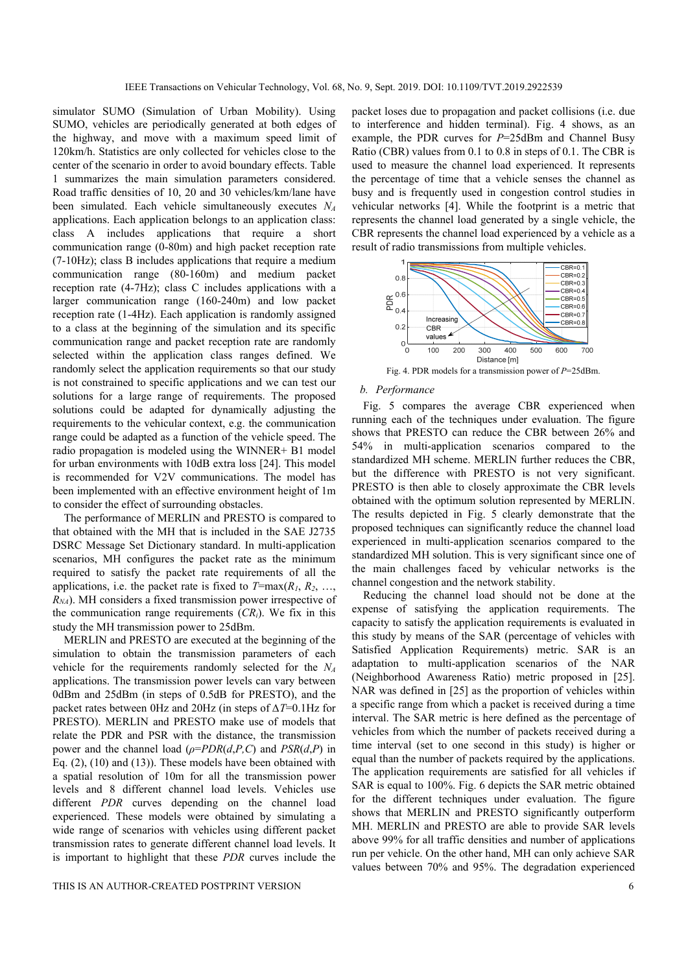simulator SUMO (Simulation of Urban Mobility). Using SUMO, vehicles are periodically generated at both edges of the highway, and move with a maximum speed limit of 120km/h. Statistics are only collected for vehicles close to the center of the scenario in order to avoid boundary effects. Table 1 summarizes the main simulation parameters considered. Road traffic densities of 10, 20 and 30 vehicles/km/lane have been simulated. Each vehicle simultaneously executes *NA* applications. Each application belongs to an application class: class A includes applications that require a short communication range (0-80m) and high packet reception rate (7-10Hz); class B includes applications that require a medium communication range (80-160m) and medium packet reception rate (4-7Hz); class C includes applications with a larger communication range (160-240m) and low packet reception rate (1-4Hz). Each application is randomly assigned to a class at the beginning of the simulation and its specific communication range and packet reception rate are randomly selected within the application class ranges defined. We randomly select the application requirements so that our study is not constrained to specific applications and we can test our solutions for a large range of requirements. The proposed solutions could be adapted for dynamically adjusting the requirements to the vehicular context, e.g. the communication range could be adapted as a function of the vehicle speed. The radio propagation is modeled using the WINNER+ B1 model for urban environments with 10dB extra loss [24]. This model is recommended for V2V communications. The model has been implemented with an effective environment height of 1m to consider the effect of surrounding obstacles.

The performance of MERLIN and PRESTO is compared to that obtained with the MH that is included in the SAE J2735 DSRC Message Set Dictionary standard. In multi-application scenarios, MH configures the packet rate as the minimum required to satisfy the packet rate requirements of all the applications, i.e. the packet rate is fixed to  $T = max(R_1, R_2, \ldots,$ *RNA*). MH considers a fixed transmission power irrespective of the communication range requirements  $(CR_i)$ . We fix in this study the MH transmission power to 25dBm.

MERLIN and PRESTO are executed at the beginning of the simulation to obtain the transmission parameters of each vehicle for the requirements randomly selected for the *NA* applications. The transmission power levels can vary between 0dBm and 25dBm (in steps of 0.5dB for PRESTO), and the packet rates between 0Hz and 20Hz (in steps of *∆T*=0.1Hz for PRESTO). MERLIN and PRESTO make use of models that relate the PDR and PSR with the distance, the transmission power and the channel load  $(\rho = PDR(d, P, C)$  and  $PSR(d, P)$  in Eq. (2), (10) and (13)). These models have been obtained with a spatial resolution of 10m for all the transmission power levels and 8 different channel load levels. Vehicles use different *PDR* curves depending on the channel load experienced. These models were obtained by simulating a wide range of scenarios with vehicles using different packet transmission rates to generate different channel load levels. It is important to highlight that these *PDR* curves include the

# THIS IS AN AUTHOR-CREATED POSTPRINT VERSION 6

packet loses due to propagation and packet collisions (i.e. due to interference and hidden terminal). Fig. 4 shows, as an example, the PDR curves for *P*=25dBm and Channel Busy Ratio (CBR) values from 0.1 to 0.8 in steps of 0.1. The CBR is used to measure the channel load experienced. It represents the percentage of time that a vehicle senses the channel as busy and is frequently used in congestion control studies in vehicular networks [4]. While the footprint is a metric that represents the channel load generated by a single vehicle, the CBR represents the channel load experienced by a vehicle as a result of radio transmissions from multiple vehicles.



Fig. 4. PDR models for a transmission power of *P*=25dBm.

# *b. Performance*

Fig. 5 compares the average CBR experienced when running each of the techniques under evaluation. The figure shows that PRESTO can reduce the CBR between 26% and 54% in multi-application scenarios compared to the standardized MH scheme. MERLIN further reduces the CBR, but the difference with PRESTO is not very significant. PRESTO is then able to closely approximate the CBR levels obtained with the optimum solution represented by MERLIN. The results depicted in Fig. 5 clearly demonstrate that the proposed techniques can significantly reduce the channel load experienced in multi-application scenarios compared to the standardized MH solution. This is very significant since one of the main challenges faced by vehicular networks is the channel congestion and the network stability.

Reducing the channel load should not be done at the expense of satisfying the application requirements. The capacity to satisfy the application requirements is evaluated in this study by means of the SAR (percentage of vehicles with Satisfied Application Requirements) metric. SAR is an adaptation to multi-application scenarios of the NAR (Neighborhood Awareness Ratio) metric proposed in [25]. NAR was defined in [25] as the proportion of vehicles within a specific range from which a packet is received during a time interval. The SAR metric is here defined as the percentage of vehicles from which the number of packets received during a time interval (set to one second in this study) is higher or equal than the number of packets required by the applications. The application requirements are satisfied for all vehicles if SAR is equal to 100%. Fig. 6 depicts the SAR metric obtained for the different techniques under evaluation. The figure shows that MERLIN and PRESTO significantly outperform MH. MERLIN and PRESTO are able to provide SAR levels above 99% for all traffic densities and number of applications run per vehicle. On the other hand, MH can only achieve SAR values between 70% and 95%. The degradation experienced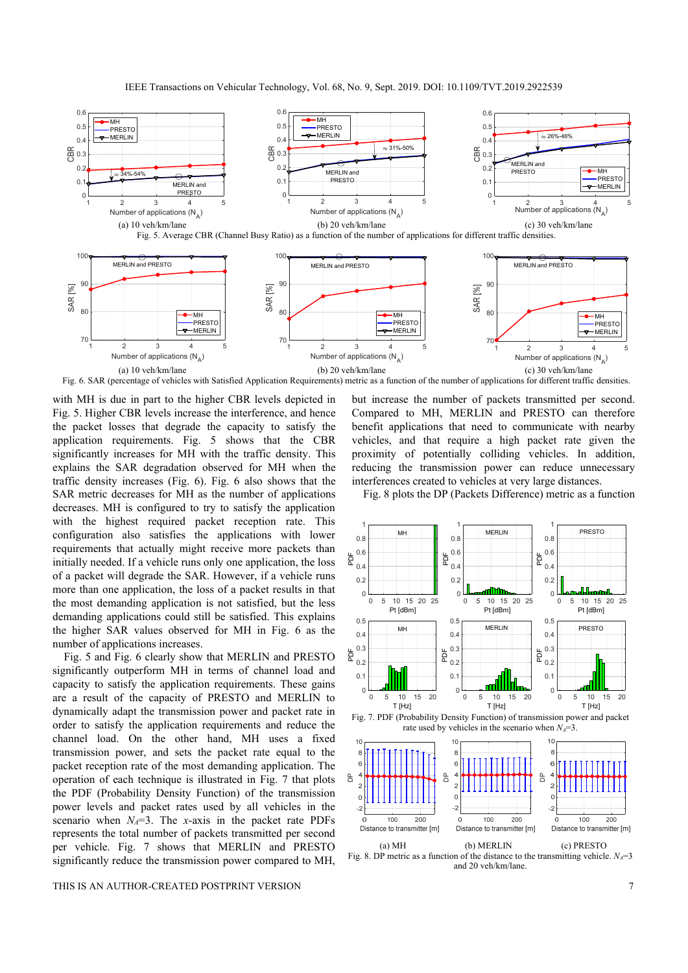

IEEE Transactions on Vehicular Technology, Vol. 68, No. 9, Sept. 2019. DOI: 10.1109/TVT.2019.2922539



with MH is due in part to the higher CBR levels depicted in Fig. 5. Higher CBR levels increase the interference, and hence the packet losses that degrade the capacity to satisfy the application requirements. Fig. 5 shows that the CBR significantly increases for MH with the traffic density. This explains the SAR degradation observed for MH when the traffic density increases (Fig. 6). Fig. 6 also shows that the SAR metric decreases for MH as the number of applications decreases. MH is configured to try to satisfy the application with the highest required packet reception rate. This configuration also satisfies the applications with lower requirements that actually might receive more packets than initially needed. If a vehicle runs only one application, the loss of a packet will degrade the SAR. However, if a vehicle runs more than one application, the loss of a packet results in that the most demanding application is not satisfied, but the less demanding applications could still be satisfied. This explains the higher SAR values observed for MH in Fig. 6 as the number of applications increases.

Fig. 5 and Fig. 6 clearly show that MERLIN and PRESTO significantly outperform MH in terms of channel load and capacity to satisfy the application requirements. These gains are a result of the capacity of PRESTO and MERLIN to dynamically adapt the transmission power and packet rate in order to satisfy the application requirements and reduce the channel load. On the other hand, MH uses a fixed transmission power, and sets the packet rate equal to the packet reception rate of the most demanding application. The operation of each technique is illustrated in Fig. 7 that plots the PDF (Probability Density Function) of the transmission power levels and packet rates used by all vehicles in the scenario when  $N_A=3$ . The *x*-axis in the packet rate PDFs represents the total number of packets transmitted per second per vehicle. Fig. 7 shows that MERLIN and PRESTO significantly reduce the transmission power compared to MH,

# THIS IS AN AUTHOR-CREATED POSTPRINT VERSION 7

but increase the number of packets transmitted per second. Compared to MH, MERLIN and PRESTO can therefore benefit applications that need to communicate with nearby vehicles, and that require a high packet rate given the proximity of potentially colliding vehicles. In addition, reducing the transmission power can reduce unnecessary interferences created to vehicles at very large distances.

Fig. 8 plots the DP (Packets Difference) metric as a function





Fig. 8. DP metric as a function of the distance to the transmitting vehicle.  $N_A=3$ and 20 veh/km/lane.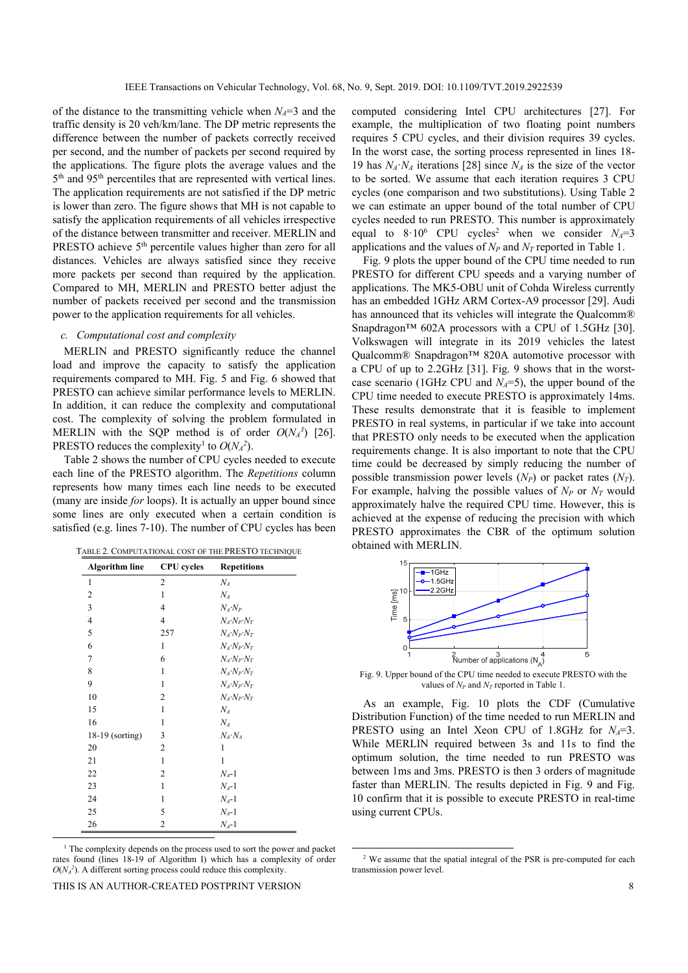of the distance to the transmitting vehicle when  $N_A=3$  and the traffic density is 20 veh/km/lane. The DP metric represents the difference between the number of packets correctly received per second, and the number of packets per second required by the applications. The figure plots the average values and the 5<sup>th</sup> and 95<sup>th</sup> percentiles that are represented with vertical lines. The application requirements are not satisfied if the DP metric is lower than zero. The figure shows that MH is not capable to satisfy the application requirements of all vehicles irrespective of the distance between transmitter and receiver. MERLIN and PRESTO achieve 5<sup>th</sup> percentile values higher than zero for all distances. Vehicles are always satisfied since they receive more packets per second than required by the application. Compared to MH, MERLIN and PRESTO better adjust the number of packets received per second and the transmission power to the application requirements for all vehicles.

# *c. Computational cost and complexity*

MERLIN and PRESTO significantly reduce the channel load and improve the capacity to satisfy the application requirements compared to MH. Fig. 5 and Fig. 6 showed that PRESTO can achieve similar performance levels to MERLIN. In addition, it can reduce the complexity and computational cost. The complexity of solving the problem formulated in MERLIN with the SQP method is of order  $O(N_A^3)$  [26]. PRESTO reduces the complexity<sup>1</sup> to  $O(N_A^2)$ .

Table 2 shows the number of CPU cycles needed to execute each line of the PRESTO algorithm. The *Repetitions* column represents how many times each line needs to be executed (many are inside *for* loops). It is actually an upper bound since some lines are only executed when a certain condition is satisfied (e.g. lines 7-10). The number of CPU cycles has been

| <b>Algorithm line</b> | <b>CPU</b> cycles | <b>Repetitions</b>        |
|-----------------------|-------------------|---------------------------|
| 1                     | 2                 | $N_{4}$                   |
| $\overline{2}$        | 1                 | ${\cal N}_A$              |
| 3                     | 4                 | $N_A \cdot N_P$           |
| $\overline{4}$        | 4                 | $N_A \cdot N_P \cdot N_T$ |
| 5                     | 257               | $N_A \cdot N_P \cdot N_T$ |
| 6                     | 1                 | $N_A \cdot N_P \cdot N_T$ |
| 7                     | 6                 | $N_A \cdot N_P \cdot N_T$ |
| 8                     | 1                 | $N_A \cdot N_P \cdot N_T$ |
| 9                     | 1                 | $N_A \cdot N_P \cdot N_T$ |
| 10                    | 2                 | $N_A \cdot N_P \cdot N_T$ |
| 15                    | 1                 | $N_A$                     |
| 16                    | 1                 | $N_{4}$                   |
| $18-19$ (sorting)     | 3                 | $N_A N_A$                 |
| 20                    | 2                 | 1                         |
| 21                    | 1                 | $\mathbf{1}$              |
| 22                    | 2                 | $N_A-1$                   |
| 23                    | 1                 | $N_{4}$ -1                |
| 24                    | $\mathbf{1}$      | $N_{4}$ -1                |
| 25                    | 5                 | $N_A-1$                   |
| 26                    | $\overline{2}$    | $N_A-1$                   |

TABLE 2. COMPUTATIONAL COST OF THE PRESTO TECHNIQUE

<sup>1</sup> The complexity depends on the process used to sort the power and packet rates found (lines 18-19 of Algorithm I) which has a complexity of order  $O(N_A^2)$ . A different sorting process could reduce this complexity.

THIS IS AN AUTHOR-CREATED POSTPRINT VERSION 8

computed considering Intel CPU architectures [27]. For example, the multiplication of two floating point numbers requires 5 CPU cycles, and their division requires 39 cycles. In the worst case, the sorting process represented in lines 18- 19 has  $N_A \cdot N_A$  iterations [28] since  $N_A$  is the size of the vector to be sorted. We assume that each iteration requires 3 CPU cycles (one comparison and two substitutions). Using Table 2 we can estimate an upper bound of the total number of CPU cycles needed to run PRESTO. This number is approximately equal to  $8.10^6$  CPU cycles<sup>2</sup> when we consider  $N_A=3$ applications and the values of  $N_P$  and  $N_T$  reported in Table 1.

Fig. 9 plots the upper bound of the CPU time needed to run PRESTO for different CPU speeds and a varying number of applications. The MK5-OBU unit of Cohda Wireless currently has an embedded 1GHz ARM Cortex-A9 processor [29]. Audi has announced that its vehicles will integrate the Qualcomm® Snapdragon<sup>™</sup> 602A processors with a CPU of 1.5GHz [30]. Volkswagen will integrate in its 2019 vehicles the latest Qualcomm® Snapdragon™ 820A automotive processor with a CPU of up to 2.2GHz [31]. Fig. 9 shows that in the worstcase scenario (1GHz CPU and  $N_A=5$ ), the upper bound of the CPU time needed to execute PRESTO is approximately 14ms. These results demonstrate that it is feasible to implement PRESTO in real systems, in particular if we take into account that PRESTO only needs to be executed when the application requirements change. It is also important to note that the CPU time could be decreased by simply reducing the number of possible transmission power levels (*NP*) or packet rates (*NT*). For example, halving the possible values of  $N_P$  or  $N_T$  would approximately halve the required CPU time. However, this is achieved at the expense of reducing the precision with which PRESTO approximates the CBR of the optimum solution obtained with MERLIN.



Fig. 9. Upper bound of the CPU time needed to execute PRESTO with the values of  $N_P$  and  $N_T$  reported in Table 1.

As an example, Fig. 10 plots the CDF (Cumulative Distribution Function) of the time needed to run MERLIN and PRESTO using an Intel Xeon CPU of 1.8GHz for  $N_A=3$ . While MERLIN required between 3s and 11s to find the optimum solution, the time needed to run PRESTO was between 1ms and 3ms. PRESTO is then 3 orders of magnitude faster than MERLIN. The results depicted in Fig. 9 and Fig. 10 confirm that it is possible to execute PRESTO in real-time using current CPUs.

<sup>&</sup>lt;sup>2</sup> We assume that the spatial integral of the PSR is pre-computed for each transmission power level.